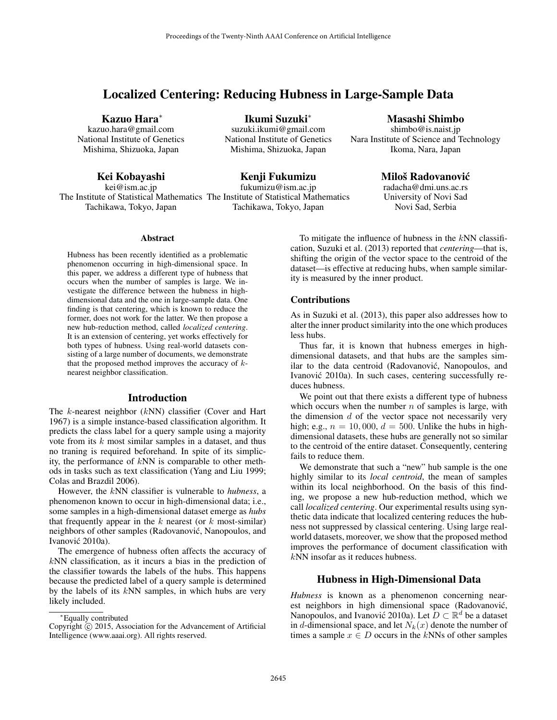# Localized Centering: Reducing Hubness in Large-Sample Data

Kazuo Hara<sup>∗</sup>

kazuo.hara@gmail.com National Institute of Genetics Mishima, Shizuoka, Japan

Kei Kobayashi

kei@ism.ac.jp The Institute of Statistical Mathematics The Institute of Statistical Mathematics Tachikawa, Tokyo, Japan

Ikumi Suzuki<sup>∗</sup> suzuki.ikumi@gmail.com National Institute of Genetics Mishima, Shizuoka, Japan

# Kenji Fukumizu

fukumizu@ism.ac.jp Tachikawa, Tokyo, Japan

# Masashi Shimbo

shimbo@is.naist.jp Nara Institute of Science and Technology Ikoma, Nara, Japan

# Miloš Radovanović

radacha@dmi.uns.ac.rs University of Novi Sad Novi Sad, Serbia

### **Abstract**

Hubness has been recently identified as a problematic phenomenon occurring in high-dimensional space. In this paper, we address a different type of hubness that occurs when the number of samples is large. We investigate the difference between the hubness in highdimensional data and the one in large-sample data. One finding is that centering, which is known to reduce the former, does not work for the latter. We then propose a new hub-reduction method, called *localized centering*. It is an extension of centering, yet works effectively for both types of hubness. Using real-world datasets consisting of a large number of documents, we demonstrate that the proposed method improves the accuracy of  $k$ nearest neighbor classification.

#### Introduction

The k-nearest neighbor (kNN) classifier (Cover and Hart 1967) is a simple instance-based classification algorithm. It predicts the class label for a query sample using a majority vote from its  $k$  most similar samples in a dataset, and thus no traning is required beforehand. In spite of its simplicity, the performance of kNN is comparable to other methods in tasks such as text classification (Yang and Liu 1999; Colas and Brazdil 2006).

However, the kNN classifier is vulnerable to *hubness*, a phenomenon known to occur in high-dimensional data; i.e., some samples in a high-dimensional dataset emerge as *hubs* that frequently appear in the  $k$  nearest (or  $k$  most-similar) neighbors of other samples (Radovanovic, Nanopoulos, and ´ Ivanović 2010a).

The emergence of hubness often affects the accuracy of kNN classification, as it incurs a bias in the prediction of the classifier towards the labels of the hubs. This happens because the predicted label of a query sample is determined by the labels of its  $kNN$  samples, in which hubs are very likely included.

To mitigate the influence of hubness in the  $kNN$  classification, Suzuki et al. (2013) reported that *centering*—that is, shifting the origin of the vector space to the centroid of the dataset—is effective at reducing hubs, when sample similarity is measured by the inner product.

### Contributions

As in Suzuki et al. (2013), this paper also addresses how to alter the inner product similarity into the one which produces less hubs.

Thus far, it is known that hubness emerges in highdimensional datasets, and that hubs are the samples similar to the data centroid (Radovanović, Nanopoulos, and Ivanović 2010a). In such cases, centering successfully reduces hubness.

We point out that there exists a different type of hubness which occurs when the number  $n$  of samples is large, with the dimension  $d$  of the vector space not necessarily very high; e.g.,  $n = 10,000, d = 500$ . Unlike the hubs in highdimensional datasets, these hubs are generally not so similar to the centroid of the entire dataset. Consequently, centering fails to reduce them.

We demonstrate that such a "new" hub sample is the one highly similar to its *local centroid*, the mean of samples within its local neighborhood. On the basis of this finding, we propose a new hub-reduction method, which we call *localized centering*. Our experimental results using synthetic data indicate that localized centering reduces the hubness not suppressed by classical centering. Using large realworld datasets, moreover, we show that the proposed method improves the performance of document classification with kNN insofar as it reduces hubness.

# Hubness in High-Dimensional Data

*Hubness* is known as a phenomenon concerning nearest neighbors in high dimensional space (Radovanović, Nanopoulos, and Ivanović 2010a). Let  $D \subset \mathbb{R}^d$  be a dataset in d-dimensional space, and let  $N_k(x)$  denote the number of times a sample  $x \in D$  occurs in the kNNs of other samples

<sup>∗</sup>Equally contributed

Copyright © 2015, Association for the Advancement of Artificial Intelligence (www.aaai.org). All rights reserved.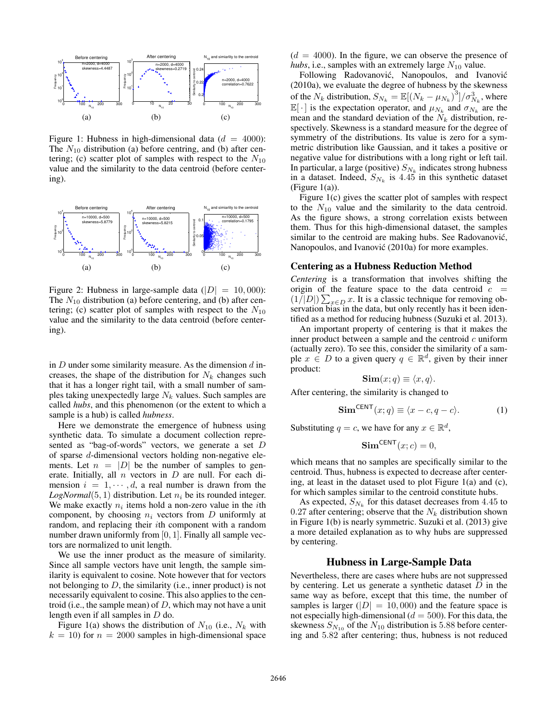

Figure 1: Hubness in high-dimensional data  $(d = 4000)$ : The  $N_{10}$  distribution (a) before centring, and (b) after centering; (c) scatter plot of samples with respect to the  $N_{10}$ value and the similarity to the data centroid (before centering).



Figure 2: Hubness in large-sample data ( $|D| = 10,000$ ): The  $N_{10}$  distribution (a) before centering, and (b) after centering; (c) scatter plot of samples with respect to the  $N_{10}$ value and the similarity to the data centroid (before centering).

in  $D$  under some similarity measure. As the dimension  $d$  increases, the shape of the distribution for  $N_k$  changes such that it has a longer right tail, with a small number of samples taking unexpectedly large  $N_k$  values. Such samples are called *hubs*, and this phenomenon (or the extent to which a sample is a hub) is called *hubness*.

Here we demonstrate the emergence of hubness using synthetic data. To simulate a document collection represented as "bag-of-words" vectors, we generate a set D of sparse d-dimensional vectors holding non-negative elements. Let  $n = |D|$  be the number of samples to generate. Initially, all  $n$  vectors in  $D$  are null. For each dimension  $i = 1, \dots, d$ , a real number is drawn from the *LogNormal*(5, 1) distribution. Let  $n_i$  be its rounded integer. We make exactly  $n_i$  items hold a non-zero value in the *i*th component, by choosing  $n_i$  vectors from  $D$  uniformly at random, and replacing their ith component with a random number drawn uniformly from [0, 1]. Finally all sample vectors are normalized to unit length.

We use the inner product as the measure of similarity. Since all sample vectors have unit length, the sample similarity is equivalent to cosine. Note however that for vectors not belonging to  $D$ , the similarity (i.e., inner product) is not necessarily equivalent to cosine. This also applies to the centroid (i.e., the sample mean) of  $D$ , which may not have a unit length even if all samples in D do.

Figure 1(a) shows the distribution of  $N_{10}$  (i.e.,  $N_k$  with  $k = 10$ ) for  $n = 2000$  samples in high-dimensional space

 $(d = 4000)$ . In the figure, we can observe the presence of *hubs*, i.e., samples with an extremely large  $N_{10}$  value.

Following Radovanović, Nanopoulos, and Ivanović (2010a), we evaluate the degree of hubness by the skewness of the  $N_k$  distribution,  $S_{N_k} = \mathbb{E}[(N_k - \mu_{N_k})^3]/\sigma_{N_k}^3$ , where  $\mathbb{E}[\cdot]$  is the expectation operator, and  $\mu_{N_k}$  and  $\sigma_{N_k}$  are the mean and the standard deviation of the  $N_k$  distribution, respectively. Skewness is a standard measure for the degree of symmetry of the distributions. Its value is zero for a symmetric distribution like Gaussian, and it takes a positive or negative value for distributions with a long right or left tail. In particular, a large (positive)  $S_{N_k}$  indicates strong hubness in a dataset. Indeed,  $S_{N_k}$  is 4.45 in this synthetic dataset (Figure 1(a)).

Figure 1(c) gives the scatter plot of samples with respect to the  $N_{10}$  value and the similarity to the data centroid. As the figure shows, a strong correlation exists between them. Thus for this high-dimensional dataset, the samples similar to the centroid are making hubs. See Radovanović, Nanopoulos, and Ivanović (2010a) for more examples.

#### Centering as a Hubness Reduction Method

*Centering* is a transformation that involves shifting the origin of the feature space to the data centroid  $c =$  $(1/|D|)\sum_{x\in D} x$ . It is a classic technique for removing observation bias in the data, but only recently has it been identified as a method for reducing hubness (Suzuki et al. 2013).

An important property of centering is that it makes the inner product between a sample and the centroid  $c$  uniform (actually zero). To see this, consider the similarity of a sample  $x \in D$  to a given query  $q \in \mathbb{R}^d$ , given by their inner product:

$$
\mathbf{Sim}(x; q) \equiv \langle x, q \rangle.
$$

After centering, the similarity is changed to

$$
\mathbf{Sim}^{\mathsf{CENT}}(x; q) \equiv \langle x - c, q - c \rangle.
$$
 (1)

Substituting  $q = c$ , we have for any  $x \in \mathbb{R}^d$ ,

$$
\mathbf{Sim}^{\mathsf{CENT}}(x; c) = 0,
$$

which means that no samples are specifically similar to the centroid. Thus, hubness is expected to decrease after centering, at least in the dataset used to plot Figure 1(a) and (c), for which samples similar to the centroid constitute hubs.

As expected,  $S_{N_k}$  for this dataset decreases from 4.45 to 0.27 after centering; observe that the  $N_k$  distribution shown in Figure 1(b) is nearly symmetric. Suzuki et al. (2013) give a more detailed explanation as to why hubs are suppressed by centering.

# Hubness in Large-Sample Data

Nevertheless, there are cases where hubs are not suppressed by centering. Let us generate a synthetic dataset  $D$  in the same way as before, except that this time, the number of samples is larger ( $|D| = 10,000$ ) and the feature space is not especially high-dimensional ( $d = 500$ ). For this data, the skewness  $S_{N_{10}}$  of the  $N_{10}$  distribution is 5.88 before centering and 5.82 after centering; thus, hubness is not reduced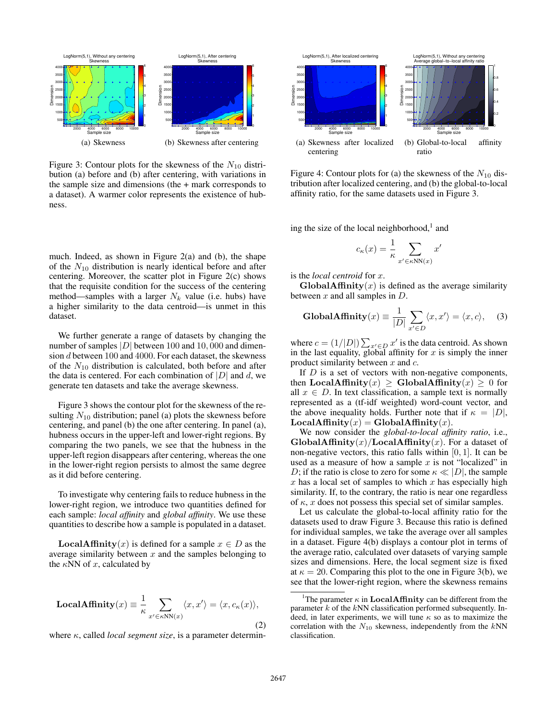

Figure 3: Contour plots for the skewness of the  $N_{10}$  distribution (a) before and (b) after centering, with variations in the sample size and dimensions (the + mark corresponds to a dataset). A warmer color represents the existence of hubness.

much. Indeed, as shown in Figure 2(a) and (b), the shape of the  $N_{10}$  distribution is nearly identical before and after centering. Moreover, the scatter plot in Figure 2(c) shows that the requisite condition for the success of the centering method—samples with a larger  $N_k$  value (i.e. hubs) have a higher similarity to the data centroid—is unmet in this dataset.

We further generate a range of datasets by changing the number of samples  $|D|$  between 100 and 10,000 and dimension d between 100 and 4000. For each dataset, the skewness of the  $N_{10}$  distribution is calculated, both before and after the data is centered. For each combination of  $|D|$  and d, we generate ten datasets and take the average skewness.

Figure 3 shows the contour plot for the skewness of the resulting  $N_{10}$  distribution; panel (a) plots the skewness before centering, and panel (b) the one after centering. In panel (a), hubness occurs in the upper-left and lower-right regions. By comparing the two panels, we see that the hubness in the upper-left region disappears after centering, whereas the one in the lower-right region persists to almost the same degree as it did before centering.

To investigate why centering fails to reduce hubness in the lower-right region, we introduce two quantities defined for each sample: *local affinity* and *global affinity*. We use these quantities to describe how a sample is populated in a dataset.

**LocalAffinity** $(x)$  is defined for a sample  $x \in D$  as the average similarity between  $x$  and the samples belonging to the  $\kappa NN$  of x, calculated by

$$
\text{LocalAffinity}(x) \equiv \frac{1}{\kappa} \sum_{x' \in \kappa NN(x)} \langle x, x' \rangle = \langle x, c_{\kappa}(x) \rangle,
$$
\n(2)

where κ, called *local segment size*, is a parameter determin-



Figure 4: Contour plots for (a) the skewness of the  $N_{10}$  distribution after localized centering, and (b) the global-to-local affinity ratio, for the same datasets used in Figure 3.

ing the size of the local neighborhood, $<sup>1</sup>$  and</sup>

$$
c_{\kappa}(x) = \frac{1}{\kappa} \sum_{x' \in \kappa \text{NN}(x)} x'
$$

is the *local centroid* for x.

GlobalAffinity $(x)$  is defined as the average similarity between  $x$  and all samples in  $D$ .

**GlobalAffinity**
$$
(x) \equiv \frac{1}{|D|} \sum_{x' \in D} \langle x, x' \rangle = \langle x, c \rangle,
$$
 (3)

where  $c = (1/|D|) \sum_{x' \in D} x'$  is the data centroid. As shown in the last equality, global affinity for  $x$  is simply the inner product similarity between  $x$  and  $c$ .

If  $D$  is a set of vectors with non-negative components, then LocalAffinity(x)  $\geq$  GlobalAffinity(x)  $\geq$  0 for all  $x \in D$ . In text classification, a sample text is normally represented as a (tf-idf weighted) word-count vector, and the above inequality holds. Further note that if  $\kappa = |D|$ ,  $LocalAffinity(x) = GlobalAffinity(x)$ .

We now consider the *global-to-local affinity ratio*, i.e.,  $\textbf{GlobalAffinity}(x)/\textbf{LocalAffinity}(x)$ . For a dataset of non-negative vectors, this ratio falls within  $[0, 1]$ . It can be used as a measure of how a sample  $x$  is not "localized" in D; if the ratio is close to zero for some  $\kappa \ll |D|$ , the sample  $x$  has a local set of samples to which  $x$  has especially high similarity. If, to the contrary, the ratio is near one regardless of  $\kappa$ , x does not possess this special set of similar samples.

Let us calculate the global-to-local affinity ratio for the datasets used to draw Figure 3. Because this ratio is defined for individual samples, we take the average over all samples in a dataset. Figure 4(b) displays a contour plot in terms of the average ratio, calculated over datasets of varying sample sizes and dimensions. Here, the local segment size is fixed at  $\kappa = 20$ . Comparing this plot to the one in Figure 3(b), we see that the lower-right region, where the skewness remains

<sup>&</sup>lt;sup>1</sup>The parameter  $\kappa$  in **LocalAffinity** can be different from the parameter  $k$  of the  $kNN$  classification performed subsequently. Indeed, in later experiments, we will tune  $\kappa$  so as to maximize the correlation with the  $N_{10}$  skewness, independently from the  $kNN$ classification.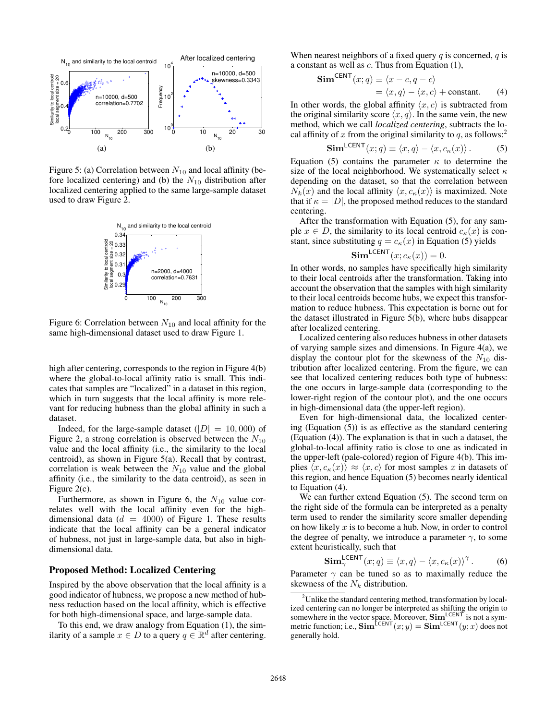

Figure 5: (a) Correlation between  $N_{10}$  and local affinity (before localized centering) and (b) the  $N_{10}$  distribution after localized centering applied to the same large-sample dataset used to draw Figure 2.



Figure 6: Correlation between  $N_{10}$  and local affinity for the same high-dimensional dataset used to draw Figure 1.

high after centering, corresponds to the region in Figure 4(b) where the global-to-local affinity ratio is small. This indicates that samples are "localized" in a dataset in this region, which in turn suggests that the local affinity is more relevant for reducing hubness than the global affinity in such a dataset.

Indeed, for the large-sample dataset  $(|D| = 10,000)$  of Figure 2, a strong correlation is observed between the  $N_{10}$ value and the local affinity (i.e., the similarity to the local centroid), as shown in Figure 5(a). Recall that by contrast, correlation is weak between the  $N_{10}$  value and the global affinity (i.e., the similarity to the data centroid), as seen in Figure 2(c).

Furthermore, as shown in Figure 6, the  $N_{10}$  value correlates well with the local affinity even for the highdimensional data ( $d = 4000$ ) of Figure 1. These results indicate that the local affinity can be a general indicator of hubness, not just in large-sample data, but also in highdimensional data.

### Proposed Method: Localized Centering

Inspired by the above observation that the local affinity is a good indicator of hubness, we propose a new method of hubness reduction based on the local affinity, which is effective for both high-dimensional space, and large-sample data.

To this end, we draw analogy from Equation (1), the similarity of a sample  $x \in D$  to a query  $q \in \mathbb{R}^d$  after centering.

When nearest neighbors of a fixed query  $q$  is concerned,  $q$  is a constant as well as c. Thus from Equation (1),

$$
\text{Sim}^{\text{CENT}}(x; q) \equiv \langle x - c, q - c \rangle
$$
  
=  $\langle x, q \rangle - \langle x, c \rangle + \text{constant.}$  (4)

In other words, the global affinity  $\langle x, c \rangle$  is subtracted from the original similarity score  $\langle x, q \rangle$ . In the same vein, the new method, which we call *localized centering*, subtracts the local affinity of x from the original similarity to q, as follows:<sup>2</sup>

$$
\mathbf{Sim}^{\mathsf{LCENT}}(x; q) \equiv \langle x, q \rangle - \langle x, c_{\kappa}(x) \rangle. \tag{5}
$$

Equation (5) contains the parameter  $\kappa$  to determine the size of the local neighborhood. We systematically select  $\kappa$ depending on the dataset, so that the correlation between  $N_k(x)$  and the local affinity  $\langle x, c_{\kappa}(x)\rangle$  is maximized. Note that if  $\kappa = |D|$ , the proposed method reduces to the standard centering.

After the transformation with Equation (5), for any sample  $x \in D$ , the similarity to its local centroid  $c_{\kappa}(x)$  is constant, since substituting  $q = c_{\kappa}(x)$  in Equation (5) yields

$$
\mathbf{Sim}^{\mathsf{LCENT}}(x; c_{\kappa}(x)) = 0.
$$

In other words, no samples have specifically high similarity to their local centroids after the transformation. Taking into account the observation that the samples with high similarity to their local centroids become hubs, we expect this transformation to reduce hubness. This expectation is borne out for the dataset illustrated in Figure 5(b), where hubs disappear after localized centering.

Localized centering also reduces hubness in other datasets of varying sample sizes and dimensions. In Figure 4(a), we display the contour plot for the skewness of the  $N_{10}$  distribution after localized centering. From the figure, we can see that localized centering reduces both type of hubness: the one occurs in large-sample data (corresponding to the lower-right region of the contour plot), and the one occurs in high-dimensional data (the upper-left region).

Even for high-dimensional data, the localized centering (Equation (5)) is as effective as the standard centering (Equation (4)). The explanation is that in such a dataset, the global-to-local affinity ratio is close to one as indicated in the upper-left (pale-colored) region of Figure 4(b). This implies  $\langle x, c_{\kappa}(x)\rangle \approx \langle x, c\rangle$  for most samples x in datasets of this region, and hence Equation (5) becomes nearly identical to Equation (4).

We can further extend Equation (5). The second term on the right side of the formula can be interpreted as a penalty term used to render the similarity score smaller depending on how likely  $x$  is to become a hub. Now, in order to control the degree of penalty, we introduce a parameter  $\gamma$ , to some extent heuristically, such that

$$
\mathbf{Sim}_{\gamma}^{\mathsf{LCENT}}(x; q) \equiv \langle x, q \rangle - \langle x, c_{\kappa}(x) \rangle^{\gamma}.
$$
 (6)

Parameter  $\gamma$  can be tuned so as to maximally reduce the skewness of the  $N_k$  distribution.

 $2$ Unlike the standard centering method, transformation by localized centering can no longer be interpreted as shifting the origin to somewhere in the vector space. Moreover,  $\text{Sim}^{\text{LCENT}}$  is not a symmetric function; i.e.,  $\textbf{Sim}^{\text{LCENT}}(x; y) = \textbf{Sim}^{\text{LCENT}}(y; x)$  does not generally hold.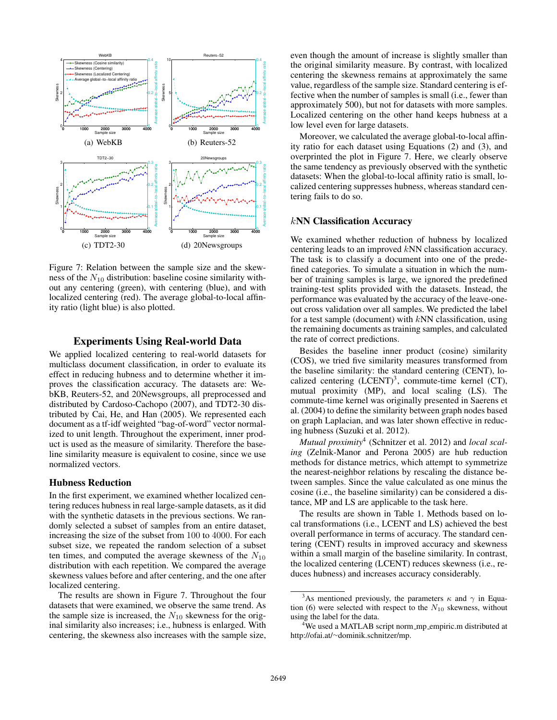

Figure 7: Relation between the sample size and the skewness of the  $N_{10}$  distribution: baseline cosine similarity without any centering (green), with centering (blue), and with localized centering (red). The average global-to-local affinity ratio (light blue) is also plotted.

## Experiments Using Real-world Data

We applied localized centering to real-world datasets for multiclass document classification, in order to evaluate its effect in reducing hubness and to determine whether it improves the classification accuracy. The datasets are: WebKB, Reuters-52, and 20Newsgroups, all preprocessed and distributed by Cardoso-Cachopo (2007), and TDT2-30 distributed by Cai, He, and Han (2005). We represented each document as a tf-idf weighted "bag-of-word" vector normalized to unit length. Throughout the experiment, inner product is used as the measure of similarity. Therefore the baseline similarity measure is equivalent to cosine, since we use normalized vectors.

### Hubness Reduction

In the first experiment, we examined whether localized centering reduces hubness in real large-sample datasets, as it did with the synthetic datasets in the previous sections. We randomly selected a subset of samples from an entire dataset, increasing the size of the subset from 100 to 4000. For each subset size, we repeated the random selection of a subset ten times, and computed the average skewness of the  $N_{10}$ distribution with each repetition. We compared the average skewness values before and after centering, and the one after localized centering.

The results are shown in Figure 7. Throughout the four datasets that were examined, we observe the same trend. As the sample size is increased, the  $N_{10}$  skewness for the original similarity also increases; i.e., hubness is enlarged. With centering, the skewness also increases with the sample size,

even though the amount of increase is slightly smaller than the original similarity measure. By contrast, with localized centering the skewness remains at approximately the same value, regardless of the sample size. Standard centering is effective when the number of samples is small (i.e., fewer than approximately 500), but not for datasets with more samples. Localized centering on the other hand keeps hubness at a low level even for large datasets.

Moreover, we calculated the average global-to-local affinity ratio for each dataset using Equations (2) and (3), and overprinted the plot in Figure 7. Here, we clearly observe the same tendency as previously observed with the synthetic datasets: When the global-to-local affinity ratio is small, localized centering suppresses hubness, whereas standard centering fails to do so.

#### kNN Classification Accuracy

We examined whether reduction of hubness by localized centering leads to an improved kNN classification accuracy. The task is to classify a document into one of the predefined categories. To simulate a situation in which the number of training samples is large, we ignored the predefined training-test splits provided with the datasets. Instead, the performance was evaluated by the accuracy of the leave-oneout cross validation over all samples. We predicted the label for a test sample (document) with  $kNN$  classification, using the remaining documents as training samples, and calculated the rate of correct predictions.

Besides the baseline inner product (cosine) similarity (COS), we tried five similarity measures transformed from the baseline similarity: the standard centering (CENT), localized centering  $(LCENT)^3$ , commute-time kernel (CT), mutual proximity (MP), and local scaling (LS). The commute-time kernel was originally presented in Saerens et al. (2004) to define the similarity between graph nodes based on graph Laplacian, and was later shown effective in reducing hubness (Suzuki et al. 2012).

*Mutual proximity*<sup>4</sup> (Schnitzer et al. 2012) and *local scaling* (Zelnik-Manor and Perona 2005) are hub reduction methods for distance metrics, which attempt to symmetrize the nearest-neighbor relations by rescaling the distance between samples. Since the value calculated as one minus the cosine (i.e., the baseline similarity) can be considered a distance, MP and LS are applicable to the task here.

The results are shown in Table 1. Methods based on local transformations (i.e., LCENT and LS) achieved the best overall performance in terms of accuracy. The standard centering (CENT) results in improved accuracy and skewness within a small margin of the baseline similarity. In contrast, the localized centering (LCENT) reduces skewness (i.e., reduces hubness) and increases accuracy considerably.

<sup>&</sup>lt;sup>3</sup>As mentioned previously, the parameters  $\kappa$  and  $\gamma$  in Equation (6) were selected with respect to the  $N_{10}$  skewness, without using the label for the data.

<sup>&</sup>lt;sup>4</sup>We used a MATLAB script norm\_mp\_empiric.m distributed at http://ofai.at/∼dominik.schnitzer/mp.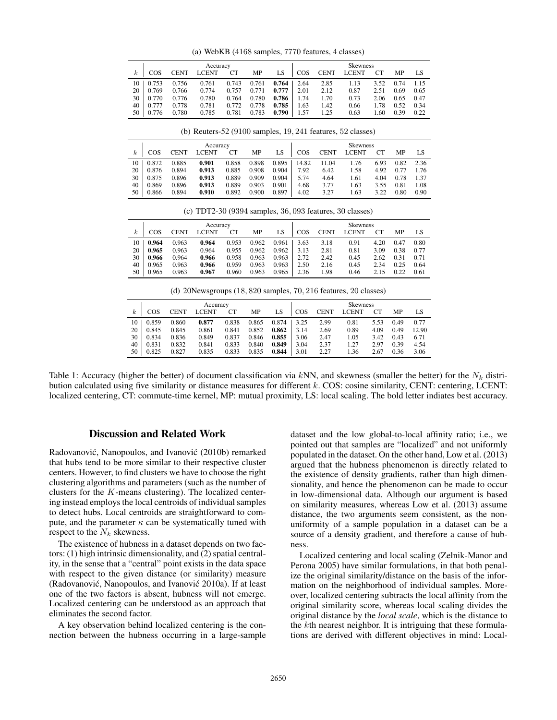(a) WebKB (4168 samples, 7770 features, 4 classes)

|    |            |             | Accuracy     |       | <b>Skewness</b> |       |            |             |              |      |      |      |
|----|------------|-------------|--------------|-------|-----------------|-------|------------|-------------|--------------|------|------|------|
| k. | <b>COS</b> | <b>CENT</b> | <b>LCENT</b> | CT    | MP              | LS    | <b>COS</b> | <b>CENT</b> | <b>LCENT</b> |      | MP   | LS   |
| 10 | 0.753      | 0.756       | 0.761        | 0.743 | 0.761           | 0.764 | 2.64       | 2.85        | 1.13         | 3.52 | 0.74 | 1.15 |
| 20 | 0.769      | 0.766       | 0.774        | 0.757 | 0.771           | 0.777 | 2.01       | 2.12        | 0.87         | 2.51 | 0.69 | 0.65 |
| 30 | 0.770      | 0.776       | 0.780        | 0.764 | 0.780           | 0.786 | 1.74       | 1.70        | 0.73         | 2.06 | 0.65 | 0.47 |
| 40 | 0.777      | 0.778       | 0.781        | 0.772 | 0.778           | 0.785 | .63        | 1.42        | 0.66         | 1.78 | 0.52 | 0.34 |
| 50 | 0.776      | 0.780       | 0.785        | 0.781 | 0.783           | 0.790 | 1.57       | 1.25        | 0.63         | 1.60 | 0.39 | 0.22 |

(b) Reuters-52 (9100 samples, 19, 241 features, 52 classes)

|                  | Accuracy   |             |       |           |       |       |            | <b>Skewness</b> |              |      |      |      |  |  |
|------------------|------------|-------------|-------|-----------|-------|-------|------------|-----------------|--------------|------|------|------|--|--|
| $\boldsymbol{k}$ | <b>COS</b> | <b>CENT</b> | LCENT | <b>CT</b> | MP    | LS    | <b>COS</b> | <b>CENT</b>     | <b>LCENT</b> | CT   | MΡ   | LS   |  |  |
| 10               | 0.872      | 0.885       | 0.901 | 0.858     | 0.898 | 0.895 | 14.82      | 11.04           | 1.76         | 6.93 | 0.82 | 2.36 |  |  |
| 20               | 0.876      | 0.894       | 0.913 | 0.885     | 0.908 | 0.904 | 7.92       | 6.42            | 1.58         | 4.92 | 0.77 | 1.76 |  |  |
| 30               | 0.875      | 0.896       | 0.913 | 0.889     | 0.909 | 0.904 | 5.74       | 4.64            | 1.61         | 4.04 | 0.78 | 1.37 |  |  |
| 40               | 0.869      | 0.896       | 0.913 | 0.889     | 0.903 | 0.901 | 4.68       | 3.77            | 1.63         | 3.55 | 0.81 | 1.08 |  |  |
| 50               | 0.866      | 0.894       | 0.910 | 0.892     | 0.900 | 0.897 | 4.02       | 3.27            | 1.63         | 3.22 | 0.80 | 0.90 |  |  |

(c) TDT2-30 (9394 samples, 36, 093 features, 30 classes)

|    |       |             | Accuracy     |       |       |       | <b>Skewness</b> |             |              |      |      |      |  |  |
|----|-------|-------------|--------------|-------|-------|-------|-----------------|-------------|--------------|------|------|------|--|--|
|    | COS   | <b>CENT</b> | <b>LCENT</b> | СT    | MP    | LS    | COS             | <b>CENT</b> | <b>LCENT</b> |      | MP   | LS   |  |  |
| 10 | 0.964 | 0.963       | 0.964        | 0.953 | 0.962 | 0.961 | 3.63            | 3.18        | 0.91         | 4.20 | 0.47 | 0.80 |  |  |
| 20 | 0.965 | 0.963       | 0.964        | 0.955 | 0.962 | 0.962 | 3.13            | 2.81        | 0.81         | 3.09 | 0.38 | 0.77 |  |  |
| 30 | 0.966 | 0.964       | 0.966        | 0.958 | 0.963 | 0.963 | 2.72            | 2.42        | 0.45         | 2.62 | 0.31 | 0.71 |  |  |
| 40 | 0.965 | 0.963       | 0.966        | 0.959 | 0.963 | 0.963 | 2.50            | 2.16        | 0.45         | 2.34 | 0.25 | 0.64 |  |  |
| 50 | 0.965 | 0.963       | 0.967        | 0.960 | 0.963 | 0.965 | 2.36            | 1.98        | 0.46         | 2.15 | 0.22 | 0.61 |  |  |

| (d) 20Newsgroups $(18, 820 \text{ samples}, 70, 216 \text{ features}, 20 \text{ classes})$ |          |             |              |       |       |       |      |                 |              |      |      |       |  |  |
|--------------------------------------------------------------------------------------------|----------|-------------|--------------|-------|-------|-------|------|-----------------|--------------|------|------|-------|--|--|
|                                                                                            | Accuracy |             |              |       |       |       |      | <b>Skewness</b> |              |      |      |       |  |  |
| $\boldsymbol{k}$                                                                           | COS      | <b>CENT</b> | <b>LCENT</b> | CT    | MP    | LS    | COS  | <b>CENT</b>     | <b>LCENT</b> | CT   | MP   | LS    |  |  |
| 10                                                                                         | 0.859    | 0.860       | 0.877        | 0.838 | 0.865 | 0.874 | 3.25 | 2.99            | 0.81         | 5.53 | 0.49 | 0.77  |  |  |
| 20                                                                                         | 0.845    | 0.845       | 0.861        | 0.841 | 0.852 | 0.862 | 3.14 | 2.69            | 0.89         | 4.09 | 0.49 | 12.90 |  |  |
| 30                                                                                         | 0.834    | 0.836       | 0.849        | 0.837 | 0.846 | 0.855 | 3.06 | 2.47            | 1.05         | 3.42 | 0.43 | 6.71  |  |  |
| 40                                                                                         | 0.831    | 0.832       | 0.841        | 0.833 | 0.840 | 0.849 | 3.04 | 2.37            | 1.27         | 2.97 | 0.39 | 4.54  |  |  |
| 50                                                                                         | 0.825    | 0.827       | 0.835        | 0.833 | 0.835 | 0.844 | 3.01 | 2.27            | 1.36         | 2.67 | 0.36 | 3.06  |  |  |

Table 1: Accuracy (higher the better) of document classification via kNN, and skewness (smaller the better) for the  $N_k$  distribution calculated using five similarity or distance measures for different k. COS: cosine similarity, CENT: centering, LCENT: localized centering, CT: commute-time kernel, MP: mutual proximity, LS: local scaling. The bold letter indiates best accuracy.

## Discussion and Related Work

Radovanović, Nanopoulos, and Ivanović (2010b) remarked that hubs tend to be more similar to their respective cluster centers. However, to find clusters we have to choose the right clustering algorithms and parameters (such as the number of clusters for the  $K$ -means clustering). The localized centering instead employs the local centroids of individual samples to detect hubs. Local centroids are straightforward to compute, and the parameter  $\kappa$  can be systematically tuned with respect to the  $N_k$  skewness.

The existence of hubness in a dataset depends on two factors: (1) high intrinsic dimensionality, and (2) spatial centrality, in the sense that a "central" point exists in the data space with respect to the given distance (or similarity) measure (Radovanović, Nanopoulos, and Ivanović 2010a). If at least one of the two factors is absent, hubness will not emerge. Localized centering can be understood as an approach that eliminates the second factor.

A key observation behind localized centering is the connection between the hubness occurring in a large-sample dataset and the low global-to-local affinity ratio; i.e., we pointed out that samples are "localized" and not uniformly populated in the dataset. On the other hand, Low et al. (2013) argued that the hubness phenomenon is directly related to the existence of density gradients, rather than high dimensionality, and hence the phenomenon can be made to occur in low-dimensional data. Although our argument is based on similarity measures, whereas Low et al. (2013) assume distance, the two arguments seem consistent, as the nonuniformity of a sample population in a dataset can be a source of a density gradient, and therefore a cause of hubness.

Localized centering and local scaling (Zelnik-Manor and Perona 2005) have similar formulations, in that both penalize the original similarity/distance on the basis of the information on the neighborhood of individual samples. Moreover, localized centering subtracts the local affinity from the original similarity score, whereas local scaling divides the original distance by the *local scale*, which is the distance to the kth nearest neighbor. It is intriguing that these formulations are derived with different objectives in mind: Local